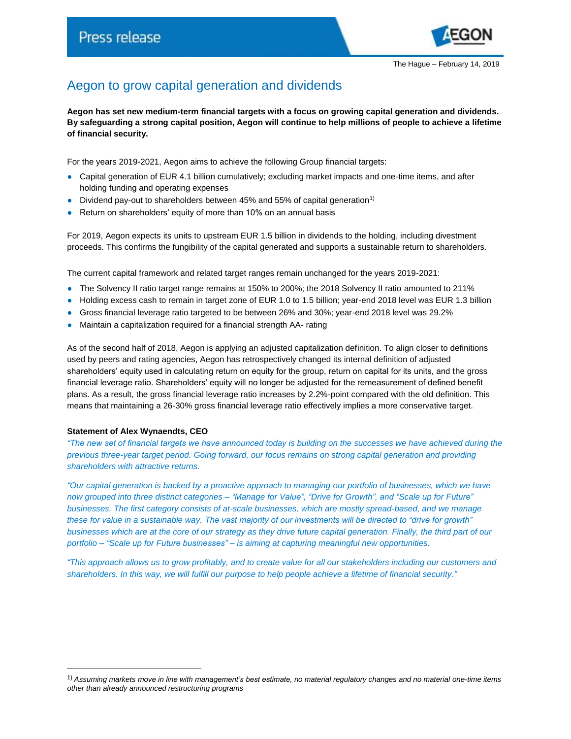

# Aegon to grow capital generation and dividends

**Aegon has set new medium-term financial targets with a focus on growing capital generation and dividends. By safeguarding a strong capital position, Aegon will continue to help millions of people to achieve a lifetime of financial security.**

For the years 2019-2021, Aegon aims to achieve the following Group financial targets:

- Capital generation of EUR 4.1 billion cumulatively; excluding market impacts and one-time items, and after holding funding and operating expenses
- Dividend pay-out to shareholders between 45% and 55% of capital generation<sup>1)</sup>
- Return on shareholders' equity of more than 10% on an annual basis

For 2019, Aegon expects its units to upstream EUR 1.5 billion in dividends to the holding, including divestment proceeds. This confirms the fungibility of the capital generated and supports a sustainable return to shareholders.

The current capital framework and related target ranges remain unchanged for the years 2019-2021:

- The Solvency II ratio target range remains at 150% to 200%; the 2018 Solvency II ratio amounted to 211%
- Holding excess cash to remain in target zone of EUR 1.0 to 1.5 billion; year-end 2018 level was EUR 1.3 billion
- Gross financial leverage ratio targeted to be between 26% and 30%; year-end 2018 level was 29.2%
- Maintain a capitalization required for a financial strength AA- rating

As of the second half of 2018, Aegon is applying an adjusted capitalization definition. To align closer to definitions used by peers and rating agencies, Aegon has retrospectively changed its internal definition of adjusted shareholders' equity used in calculating return on equity for the group, return on capital for its units, and the gross financial leverage ratio. Shareholders' equity will no longer be adjusted for the remeasurement of defined benefit plans. As a result, the gross financial leverage ratio increases by 2.2%-point compared with the old definition. This means that maintaining a 26-30% gross financial leverage ratio effectively implies a more conservative target.

## **Statement of Alex Wynaendts, CEO**

 $\overline{a}$ 

*"The new set of financial targets we have announced today is building on the successes we have achieved during the previous three-year target period. Going forward, our focus remains on strong capital generation and providing shareholders with attractive returns.*

*"Our capital generation is backed by a proactive approach to managing our portfolio of businesses, which we have now grouped into three distinct categories – "Manage for Value", "Drive for Growth", and "Scale up for Future" businesses. The first category consists of at-scale businesses, which are mostly spread-based, and we manage these for value in a sustainable way. The vast majority of our investments will be directed to "drive for growth" businesses which are at the core of our strategy as they drive future capital generation. Finally, the third part of our portfolio – "Scale up for Future businesses" – is aiming at capturing meaningful new opportunities.*

*"This approach allows us to grow profitably, and to create value for all our stakeholders including our customers and shareholders. In this way, we will fulfill our purpose to help people achieve a lifetime of financial security."*

<sup>1)</sup> *Assuming markets move in line with management's best estimate, no material regulatory changes and no material one-time items other than already announced restructuring programs*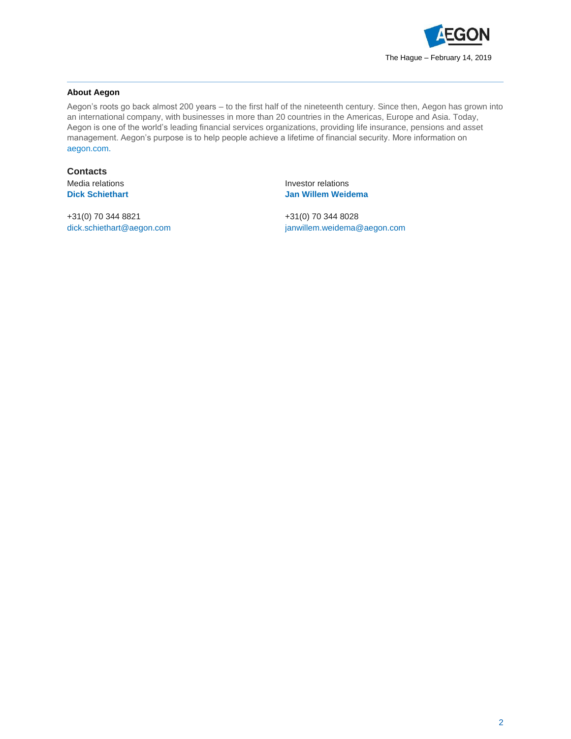

## **About Aegon**

Aegon's roots go back almost 200 years – to the first half of the nineteenth century. Since then, Aegon has grown into an international company, with businesses in more than 20 countries in the Americas, Europe and Asia. Today, Aegon is one of the world's leading financial services organizations, providing life insurance, pensions and asset management. Aegon's purpose is to help people achieve a lifetime of financial security. More information on [aegon.com.](file://rhea/users$/lupmyd1/CitrixFolders/Desktop/Banner/aegon.com/about)

**Contacts**

+31(0) 70 344 8821 +31(0) 70 344 8028

Media relations **Investor relations Dick Schiethart Jan Willem Weidema**

[dick.schiethart@aegon.com](mailto:dick.schiethart@aegon.com) [janwillem.weidema@aegon.com](mailto:janwillem.weidema@aegon.com)